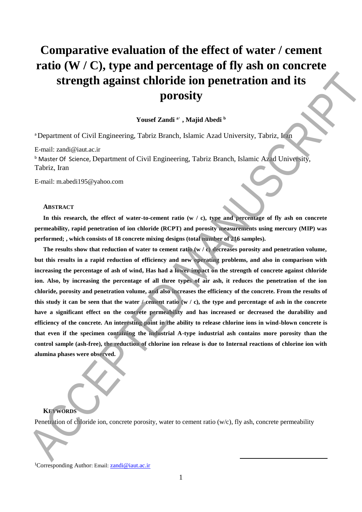# **Comparative evaluation of the effect of water / cement ratio (W / C), type and percentage of fly ash on concrete strength against chloride ion penetration and its porosity**

# **Yousef Zandi <sup>a</sup>**<sup>1</sup> **, Majid Abedi <sup>b</sup>**

<sup>a</sup>Department of Civil Engineering, Tabriz Branch, Islamic Azad University, Tabriz, Iran

E-mail: zandi@iaut.ac.ir

**b** Master Of Science, Department of Civil Engineering, Tabriz Branch, Islamic Azad University, Tabriz, Iran

E-mail: m.abedi195@yahoo.com

## **ABSTRACT**

In this research, the effect of water-to-cement ratio (w / c), type and percentage of fly ash on concrete **permeability, rapid penetration of ion chloride (RCPT) and porosity measurements using mercury (MIP) was performed; , which consists of 18 concrete mixing designs (total number of 216 samples).**

**The results show that reduction of water to cement ratio (w / c) decreases porosity and penetration volume, but this results in a rapid reduction of efficiency and new operating problems, and also in comparison with increasing the percentage of ash of wind, Has had a lower impact on the strength of concrete against chloride ion. Also, by increasing the percentage of all three types of air ash, it reduces the penetration of the ion chloride, porosity and penetration volume, and also increases the efficiency of the concrete. From the results of**  this study it can be seen that the water  $\ell$  cement ratio  $(w / c)$ , the type and percentage of ash in the concrete **have a significant effect on the concrete permeability and has increased or decreased the durability and efficiency of the concrete. An interesting point in the ability to release chlorine ions in wind-blown concrete is that even if the specimen containing the industrial A-type industrial ash contains more porosity than the control sample (ash-free), the reduction of chlorine ion release is due to Internal reactions of chlorine ion with alumina phases were observed. Example 12** and the specifical state of the control of the specifical state is the control of the specifical state of the control of the specifical state of the control of the specifical state of the specifical state of

# **KEYWORDS**

Penetration of chloride ion, concrete porosity, water to cement ratio (w/c), fly ash, concrete permeability

<sup>1</sup>Corresponding Author: Email: **[zandi@iaut.ac.ir](mailto:zandi@iaut.ac.ir)** 

**.**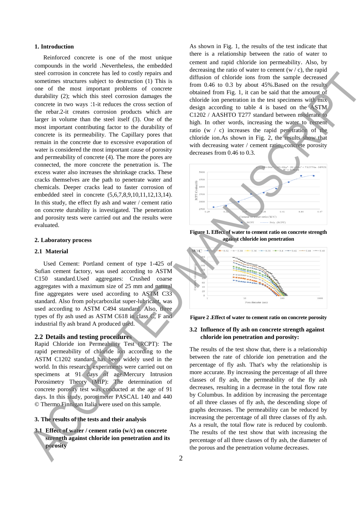## **1. Introduction**

Reinforced concrete is one of the most unique compounds in the world .Nevertheless, the embedded steel corrosion in concrete has led to costly repairs and sometimes structures subject to destruction (1) This is one of the most important problems of concrete durability (2); which this steel corrosion damages the concrete in two ways :1-it reduces the cross section of the rebar.2-it creates corrosion products which are larger in volume than the steel itself (3). One of the most important contributing factor to the durability of concrete is its permeability. The Capillary pores that remain in the concrete due to excessive evaporation of water is considered the most important cause of porosity and permeability of concrete (4). The more the pores are connected, the more concrete the penetration is. The excess water also increases the shrinkage cracks. These cracks themselves are the path to penetrate water and chemicals. Deeper cracks lead to faster corrosion of embedded steel in concrete (5,6,7,8,9,10,11,12,13,14). In this study, the effect fly ash and water / cement ratio on concrete durability is investigated. The penetration and porosity tests were carried out and the results were evaluated. and control is the porton in the solution of the porton and the solution volume decreases. Accepted the porton in the solution volume decreases. Accepted to the property of the policy space of the penetration volume decre

## **2. Laboratory process**

## **2.1 Material**

Used Cement: Portland cement of type 1-425 of Sufian cement factory, was used according to ASTM C150 standard.Used aggregates: Crushed coarse aggregates with a maximum size of 25 mm and natural fine aggregates were used according to ASTM C33 standard. Also from polycarboxilat super-lubricant, was used according to ASTM C494 standard. Also, three types of fly ash used as ASTM C618 in class C, F and industrial fly ash brand A produced used.

# **2.2 Details and testing procedures**

Rapid Chloride ion Permeability Test (RCPT): The rapid permeability of chloride ion according to the ASTM C1202 standard has been widely used in the world. In this research, experiments were carried out on specimens at 91 days of age.Mercury Intrusion Porosimetry Theory (MIP): The determination of concrete porosity test was conducted at the age of 91 days. In this study, porosimeter PASCAL 140 and 440 © Thermo Finnigan Italia were used on this sample.

## **3. The results of the tests and their analysis**

**3.1 Effect of water / cement ratio (w/c) on concrete strength against chloride ion penetration and its porosity**

As shown in Fig. 1, the results of the test indicate that there is a relationship between the ratio of water to cement and rapid chloride ion permeability. Also, by decreasing the ratio of water to cement  $(w / c)$ , the rapid diffusion of chloride ions from the sample decreased from 0.46 to 0.3 by about 45%.Based on the results obtained from Fig. 1, it can be said that the amount of chloride ion penetration in the test specimens with mix design according to table 4 is based on the ASTM C1202 / AASHTO T277 standard between moderate to high. In other words, increasing the water to cement ratio (w / c) increases the rapid penetration of the chloride ion.As shown in Fig. 2, the results show that with decreasing water / cement ratio, concrete porosity decreases from 0.46 to 0.3.



**Figure 1. Effect of water to cement ratio on concrete strength against chloride ion penetration**





## **3.2 Influence of fly ash on concrete strength against chloride ion penetration and porosity:**

The results of the test show that, there is a relationship between the rate of chloride ion penetration and the percentage of fly ash. That's why the relationship is more accurate. By increasing the percentage of all three classes of fly ash, the permeability of the fly ash decreases, resulting in a decrease in the total flow rate by Columbus. In addition by increasing the percentage of all three classes of fly ash, the descending slope of graphs decreases. The permeability can be reduced by increasing the percentage of all three classes of fly ash. As a result, the total flow rate is reduced by coulomb. The results of the test show that with increasing the percentage of all three classes of fly ash, the diameter of